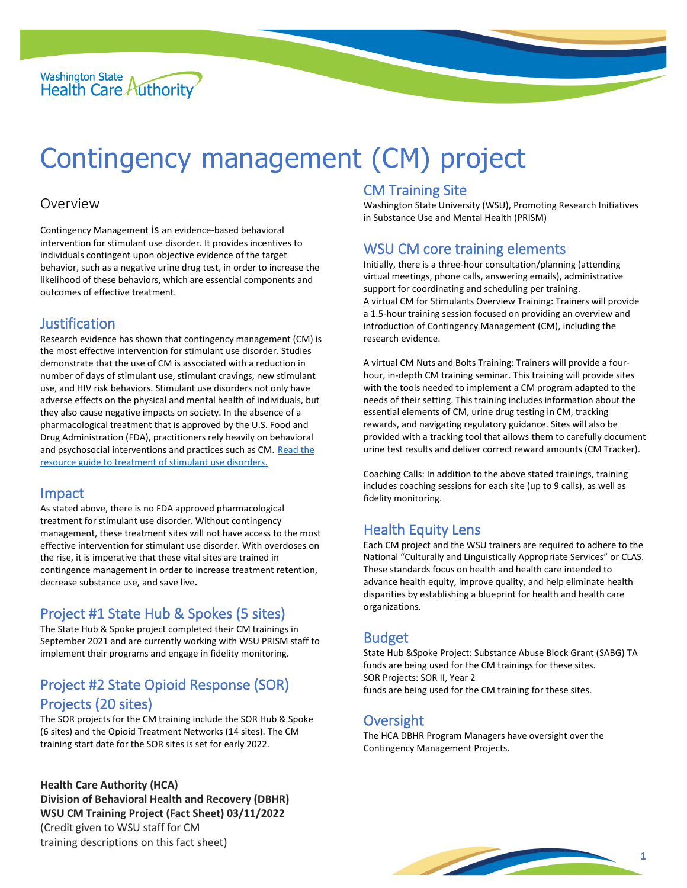

# Contingency management (CM) project

#### Overview

Contingency Management is an evidence-based behavioral intervention for stimulant use disorder. It provides incentives to individuals contingent upon objective evidence of the target behavior, such as a negative urine drug test, in order to increase the likelihood of these behaviors, which are essential components and outcomes of effective treatment.

#### Justification

Research evidence has shown that contingency management (CM) is the most effective intervention for stimulant use disorder. Studies demonstrate that the use of CM is associated with a reduction in number of days of stimulant use, stimulant cravings, new stimulant use, and HIV risk behaviors. Stimulant use disorders not only have adverse effects on the physical and mental health of individuals, but they also cause negative impacts on society. In the absence of a pharmacological treatment that is approved by the U.S. Food and Drug Administration (FDA), practitioners rely heavily on behavioral and psychosocial interventions and practices such as CM. [Read the](https://store.samhsa.gov/sites/default/files/SAMHSA_Digital_Download/PEP20-06-01-001.pdf)  [resource guide to treatment of stimulant use disorders.](https://store.samhsa.gov/sites/default/files/SAMHSA_Digital_Download/PEP20-06-01-001.pdf)

#### Impact

As stated above, there is no FDA approved pharmacological treatment for stimulant use disorder. Without contingency management, these treatment sites will not have access to the most effective intervention for stimulant use disorder. With overdoses on the rise, it is imperative that these vital sites are trained in contingence management in order to increase treatment retention, decrease substance use, and save live**.**

## Project #1 State Hub & Spokes (5 sites)

The State Hub & Spoke project completed their CM trainings in September 2021 and are currently working with WSU PRISM staff to implement their programs and engage in fidelity monitoring.

# Project #2 State Opioid Response (SOR) Projects (20 sites)

The SOR projects for the CM training include the SOR Hub & Spoke (6 sites) and the Opioid Treatment Networks (14 sites). The CM training start date for the SOR sites is set for early 2022.

**Health Care Authority (HCA) Division of Behavioral Health and Recovery (DBHR) WSU CM Training Project (Fact Sheet) 03/11/2022** (Credit given to WSU staff for CM training descriptions on this fact sheet)

## CM Training Site

Washington State University (WSU), Promoting Research Initiatives in Substance Use and Mental Health (PRISM)

## WSU CM core training elements

Initially, there is a three-hour consultation/planning (attending virtual meetings, phone calls, answering emails), administrative support for coordinating and scheduling per training. A virtual CM for Stimulants Overview Training: Trainers will provide a 1.5-hour training session focused on providing an overview and introduction of Contingency Management (CM), including the research evidence.

A virtual CM Nuts and Bolts Training: Trainers will provide a fourhour, in-depth CM training seminar. This training will provide sites with the tools needed to implement a CM program adapted to the needs of their setting. This training includes information about the essential elements of CM, urine drug testing in CM, tracking rewards, and navigating regulatory guidance. Sites will also be provided with a tracking tool that allows them to carefully document urine test results and deliver correct reward amounts (CM Tracker).

Coaching Calls: In addition to the above stated trainings, training includes coaching sessions for each site (up to 9 calls), as well as fidelity monitoring.

## Health Equity Lens

Each CM project and the WSU trainers are required to adhere to the National "Culturally and Linguistically Appropriate Services" or CLAS. These standards focus on health and health care intended to advance health equity, improve quality, and help eliminate health disparities by establishing a blueprint for health and health care organizations.

## Budget

State Hub &Spoke Project: Substance Abuse Block Grant (SABG) TA funds are being used for the CM trainings for these sites. SOR Projects: SOR II, Year 2 funds are being used for the CM training for these sites.

## **Oversight**

The HCA DBHR Program Managers have oversight over the Contingency Management Projects.